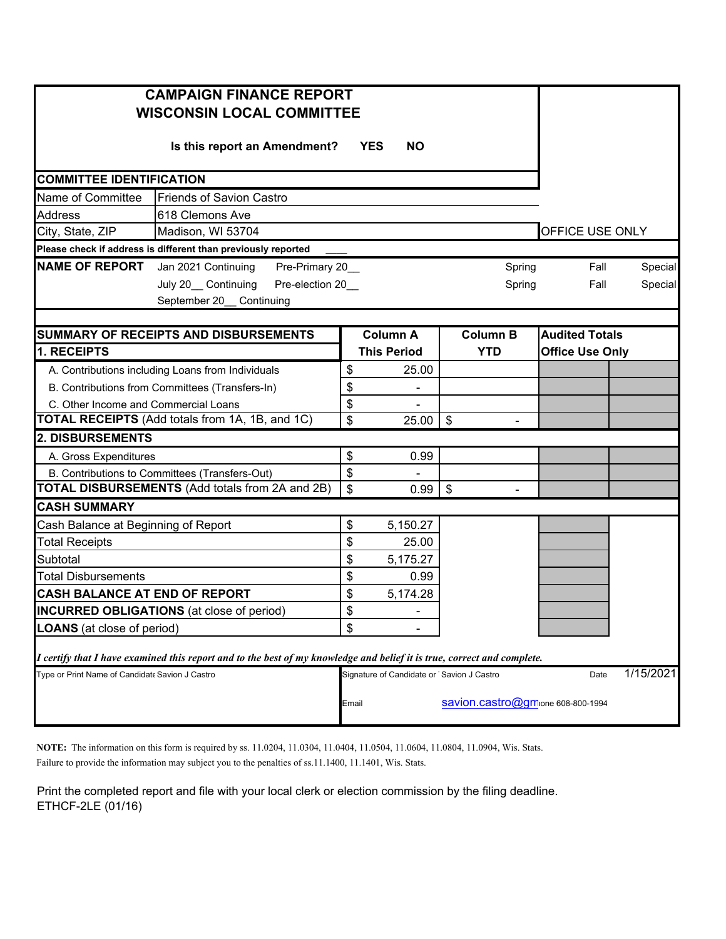| <b>CAMPAIGN FINANCE REPORT</b><br><b>WISCONSIN LOCAL COMMITTEE</b>                                                      |                 |                                           |                                  |                        |           |  |  |  |  |  |
|-------------------------------------------------------------------------------------------------------------------------|-----------------|-------------------------------------------|----------------------------------|------------------------|-----------|--|--|--|--|--|
| Is this report an Amendment?                                                                                            |                 |                                           |                                  |                        |           |  |  |  |  |  |
| <b>COMMITTEE IDENTIFICATION</b>                                                                                         |                 |                                           |                                  |                        |           |  |  |  |  |  |
| Name of Committee<br><b>Friends of Savion Castro</b>                                                                    |                 |                                           |                                  |                        |           |  |  |  |  |  |
| Address<br>618 Clemons Ave                                                                                              |                 |                                           |                                  |                        |           |  |  |  |  |  |
| Madison, WI 53704<br>City, State, ZIP                                                                                   | OFFICE USE ONLY |                                           |                                  |                        |           |  |  |  |  |  |
| Please check if address is different than previously reported                                                           |                 |                                           |                                  |                        |           |  |  |  |  |  |
| <b>NAME OF REPORT</b> Jan 2021 Continuing<br>Pre-Primary 20_                                                            |                 |                                           | Spring                           | Fall                   | Special   |  |  |  |  |  |
| July 20_ Continuing<br>Pre-election 20_                                                                                 |                 |                                           | Spring                           | Fall                   | Special   |  |  |  |  |  |
| September 20_ Continuing                                                                                                |                 |                                           |                                  |                        |           |  |  |  |  |  |
|                                                                                                                         |                 |                                           |                                  |                        |           |  |  |  |  |  |
| SUMMARY OF RECEIPTS AND DISBURSEMENTS                                                                                   |                 | <b>Column A</b>                           | <b>Column B</b>                  | <b>Audited Totals</b>  |           |  |  |  |  |  |
| 1. RECEIPTS                                                                                                             |                 | <b>This Period</b>                        | <b>YTD</b>                       | <b>Office Use Only</b> |           |  |  |  |  |  |
| A. Contributions including Loans from Individuals                                                                       | \$              | 25.00                                     |                                  |                        |           |  |  |  |  |  |
| B. Contributions from Committees (Transfers-In)                                                                         | \$              |                                           |                                  |                        |           |  |  |  |  |  |
| C. Other Income and Commercial Loans                                                                                    | \$              |                                           |                                  |                        |           |  |  |  |  |  |
| <b>TOTAL RECEIPTS</b> (Add totals from 1A, 1B, and 1C)                                                                  | \$              | 25.00                                     | \$                               |                        |           |  |  |  |  |  |
| 2. DISBURSEMENTS                                                                                                        |                 |                                           |                                  |                        |           |  |  |  |  |  |
| A. Gross Expenditures                                                                                                   | \$              | 0.99                                      |                                  |                        |           |  |  |  |  |  |
| B. Contributions to Committees (Transfers-Out)                                                                          | \$              |                                           |                                  |                        |           |  |  |  |  |  |
| <b>TOTAL DISBURSEMENTS</b> (Add totals from 2A and 2B)                                                                  | \$              | 0.99                                      | \$<br>$\blacksquare$             |                        |           |  |  |  |  |  |
| <b>CASH SUMMARY</b>                                                                                                     |                 |                                           |                                  |                        |           |  |  |  |  |  |
| Cash Balance at Beginning of Report                                                                                     | \$              | 5,150.27                                  |                                  |                        |           |  |  |  |  |  |
| <b>Total Receipts</b>                                                                                                   | \$              | 25.00                                     |                                  |                        |           |  |  |  |  |  |
| Subtotal                                                                                                                | \$              | 5,175.27                                  |                                  |                        |           |  |  |  |  |  |
| <b>Total Disbursements</b>                                                                                              | \$              | 0.99                                      |                                  |                        |           |  |  |  |  |  |
| <b>CASH BALANCE AT END OF REPORT</b>                                                                                    | \$              | 5,174.28                                  |                                  |                        |           |  |  |  |  |  |
| <b>INCURRED OBLIGATIONS</b> (at close of period)                                                                        | \$              |                                           |                                  |                        |           |  |  |  |  |  |
| <b>LOANS</b> (at close of period)                                                                                       | \$              |                                           |                                  |                        |           |  |  |  |  |  |
| I certify that I have examined this report and to the best of my knowledge and belief it is true, correct and complete. |                 |                                           |                                  |                        |           |  |  |  |  |  |
| Type or Print Name of Candidate Savion J Castro                                                                         |                 | Signature of Candidate or Savion J Castro |                                  | Date                   | 1/15/2021 |  |  |  |  |  |
|                                                                                                                         | Email           |                                           | savion.castro@gmone 608-800-1994 |                        |           |  |  |  |  |  |

**NOTE:** The information on this form is required by ss. 11.0204, 11.0304, 11.0404, 11.0504, 11.0604, 11.0804, 11.0904, Wis. Stats.

Failure to provide the information may subject you to the penalties of ss.11.1400, 11.1401, Wis. Stats.

Print the completed report and file with your local clerk or election commission by the filing deadline. ETHCF-2LE (01/16)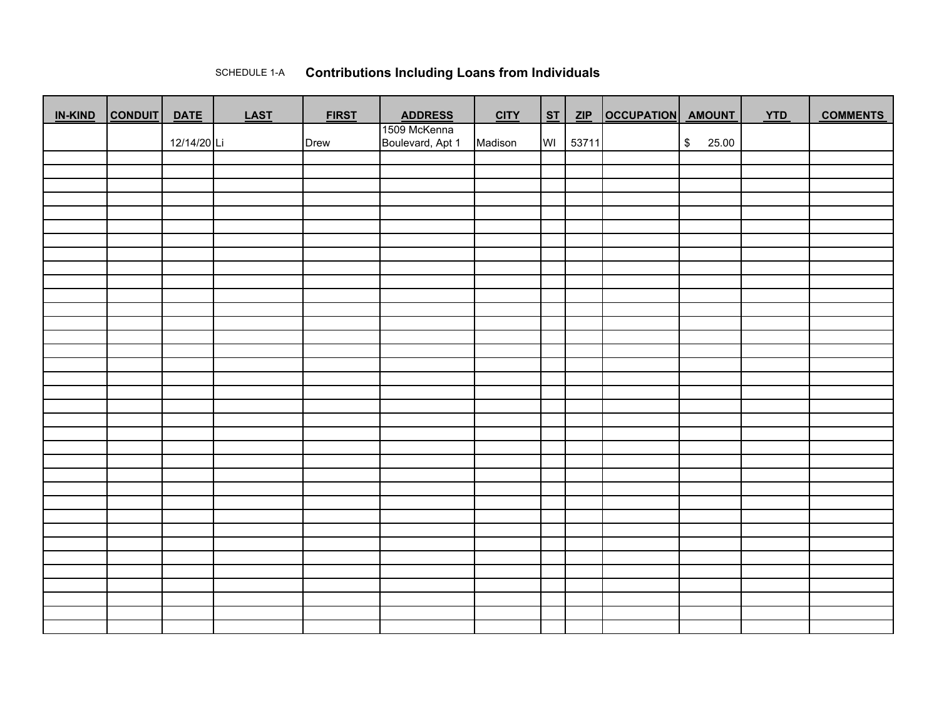## SCHEDULE 1-A**Contributions Including Loans from Individuals**

| <b>IN-KIND</b> | <b>CONDUIT</b> | <b>DATE</b> | <b>LAST</b> | <b>FIRST</b> | <b>ADDRESS</b>                   | <b>CITY</b> | ST | ZIP   | OCCUPATION AMOUNT |                        | <b>YTD</b> | <b>COMMENTS</b> |
|----------------|----------------|-------------|-------------|--------------|----------------------------------|-------------|----|-------|-------------------|------------------------|------------|-----------------|
|                |                | 12/14/20 Li |             | Drew         | 1509 McKenna<br>Boulevard, Apt 1 | Madison     | WI | 53711 |                   | $\sqrt[6]{3}$<br>25.00 |            |                 |
|                |                |             |             |              |                                  |             |    |       |                   |                        |            |                 |
|                |                |             |             |              |                                  |             |    |       |                   |                        |            |                 |
|                |                |             |             |              |                                  |             |    |       |                   |                        |            |                 |
|                |                |             |             |              |                                  |             |    |       |                   |                        |            |                 |
|                |                |             |             |              |                                  |             |    |       |                   |                        |            |                 |
|                |                |             |             |              |                                  |             |    |       |                   |                        |            |                 |
|                |                |             |             |              |                                  |             |    |       |                   |                        |            |                 |
|                |                |             |             |              |                                  |             |    |       |                   |                        |            |                 |
|                |                |             |             |              |                                  |             |    |       |                   |                        |            |                 |
|                |                |             |             |              |                                  |             |    |       |                   |                        |            |                 |
|                |                |             |             |              |                                  |             |    |       |                   |                        |            |                 |
|                |                |             |             |              |                                  |             |    |       |                   |                        |            |                 |
|                |                |             |             |              |                                  |             |    |       |                   |                        |            |                 |
|                |                |             |             |              |                                  |             |    |       |                   |                        |            |                 |
|                |                |             |             |              |                                  |             |    |       |                   |                        |            |                 |
|                |                |             |             |              |                                  |             |    |       |                   |                        |            |                 |
|                |                |             |             |              |                                  |             |    |       |                   |                        |            |                 |
|                |                |             |             |              |                                  |             |    |       |                   |                        |            |                 |
|                |                |             |             |              |                                  |             |    |       |                   |                        |            |                 |
|                |                |             |             |              |                                  |             |    |       |                   |                        |            |                 |
|                |                |             |             |              |                                  |             |    |       |                   |                        |            |                 |
|                |                |             |             |              |                                  |             |    |       |                   |                        |            |                 |
|                |                |             |             |              |                                  |             |    |       |                   |                        |            |                 |
|                |                |             |             |              |                                  |             |    |       |                   |                        |            |                 |
|                |                |             |             |              |                                  |             |    |       |                   |                        |            |                 |
|                |                |             |             |              |                                  |             |    |       |                   |                        |            |                 |
|                |                |             |             |              |                                  |             |    |       |                   |                        |            |                 |
|                |                |             |             |              |                                  |             |    |       |                   |                        |            |                 |
|                |                |             |             |              |                                  |             |    |       |                   |                        |            |                 |
|                |                |             |             |              |                                  |             |    |       |                   |                        |            |                 |
|                |                |             |             |              |                                  |             |    |       |                   |                        |            |                 |
|                |                |             |             |              |                                  |             |    |       |                   |                        |            |                 |
|                |                |             |             |              |                                  |             |    |       |                   |                        |            |                 |
|                |                |             |             |              |                                  |             |    |       |                   |                        |            |                 |
|                |                |             |             |              |                                  |             |    |       |                   |                        |            |                 |